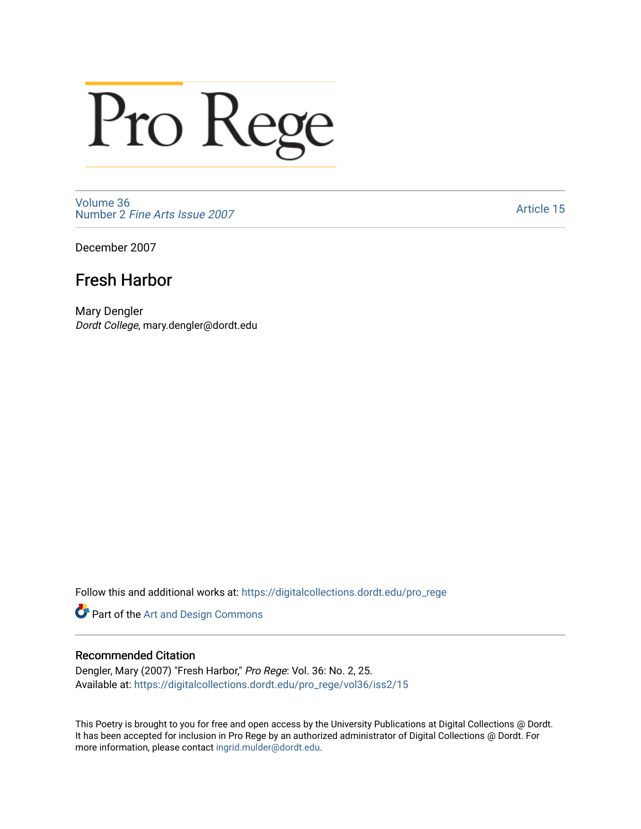## Pro Rege

[Volume 36](https://digitalcollections.dordt.edu/pro_rege/vol36) Number 2 [Fine Arts Issue 2007](https://digitalcollections.dordt.edu/pro_rege/vol36/iss2) 

[Article 15](https://digitalcollections.dordt.edu/pro_rege/vol36/iss2/15) 

December 2007

## Fresh Harbor

Mary Dengler Dordt College, mary.dengler@dordt.edu

Follow this and additional works at: [https://digitalcollections.dordt.edu/pro\\_rege](https://digitalcollections.dordt.edu/pro_rege?utm_source=digitalcollections.dordt.edu%2Fpro_rege%2Fvol36%2Fiss2%2F15&utm_medium=PDF&utm_campaign=PDFCoverPages) 

Part of the [Art and Design Commons](http://network.bepress.com/hgg/discipline/1049?utm_source=digitalcollections.dordt.edu%2Fpro_rege%2Fvol36%2Fiss2%2F15&utm_medium=PDF&utm_campaign=PDFCoverPages)

## Recommended Citation

Dengler, Mary (2007) "Fresh Harbor," Pro Rege: Vol. 36: No. 2, 25. Available at: [https://digitalcollections.dordt.edu/pro\\_rege/vol36/iss2/15](https://digitalcollections.dordt.edu/pro_rege/vol36/iss2/15?utm_source=digitalcollections.dordt.edu%2Fpro_rege%2Fvol36%2Fiss2%2F15&utm_medium=PDF&utm_campaign=PDFCoverPages)

This Poetry is brought to you for free and open access by the University Publications at Digital Collections @ Dordt. It has been accepted for inclusion in Pro Rege by an authorized administrator of Digital Collections @ Dordt. For more information, please contact [ingrid.mulder@dordt.edu.](mailto:ingrid.mulder@dordt.edu)